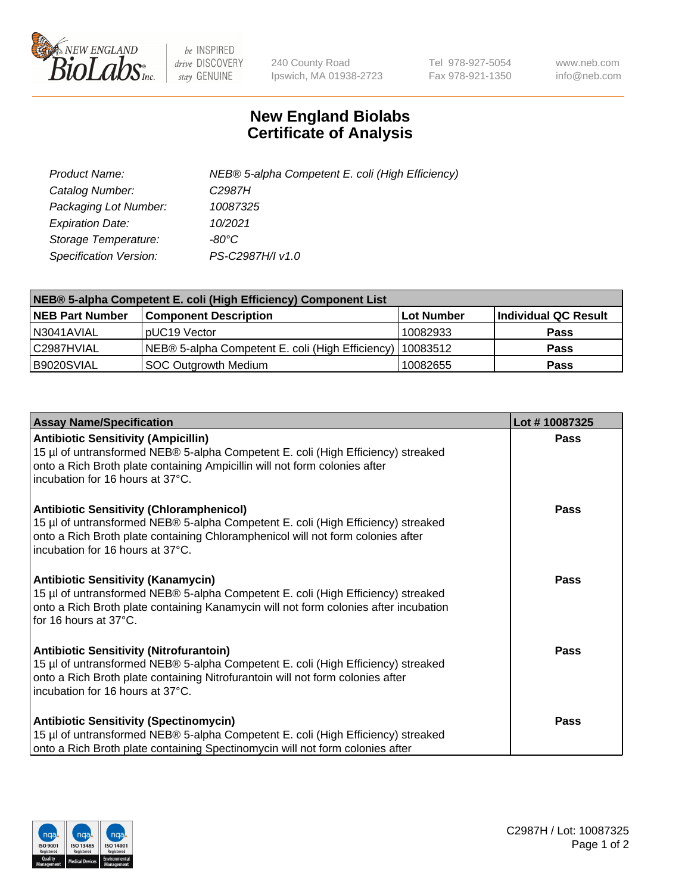

 $be$  INSPIRED drive DISCOVERY stay GENUINE

240 County Road Ipswich, MA 01938-2723 Tel 978-927-5054 Fax 978-921-1350 www.neb.com info@neb.com

## **New England Biolabs Certificate of Analysis**

| Product Name:           | NEB® 5-alpha Competent E. coli (High Efficiency) |
|-------------------------|--------------------------------------------------|
| Catalog Number:         | C <sub>2987</sub> H                              |
| Packaging Lot Number:   | 10087325                                         |
| <b>Expiration Date:</b> | 10/2021                                          |
| Storage Temperature:    | -80°C                                            |
| Specification Version:  | PS-C2987H/I v1.0                                 |

| NEB® 5-alpha Competent E. coli (High Efficiency) Component List |                                                  |            |                      |  |
|-----------------------------------------------------------------|--------------------------------------------------|------------|----------------------|--|
| <b>NEB Part Number</b>                                          | <b>Component Description</b>                     | Lot Number | Individual QC Result |  |
| N3041AVIAL                                                      | pUC19 Vector                                     | 10082933   | <b>Pass</b>          |  |
| C2987HVIAL                                                      | NEB® 5-alpha Competent E. coli (High Efficiency) | 10083512   | <b>Pass</b>          |  |
| B9020SVIAL                                                      | SOC Outgrowth Medium                             | 10082655   | <b>Pass</b>          |  |

| <b>Assay Name/Specification</b>                                                                                                                                                                                                                            | Lot #10087325 |
|------------------------------------------------------------------------------------------------------------------------------------------------------------------------------------------------------------------------------------------------------------|---------------|
| <b>Antibiotic Sensitivity (Ampicillin)</b><br>15 µl of untransformed NEB® 5-alpha Competent E. coli (High Efficiency) streaked<br>onto a Rich Broth plate containing Ampicillin will not form colonies after<br>incubation for 16 hours at 37°C.           | <b>Pass</b>   |
| <b>Antibiotic Sensitivity (Chloramphenicol)</b><br>15 µl of untransformed NEB® 5-alpha Competent E. coli (High Efficiency) streaked<br>onto a Rich Broth plate containing Chloramphenicol will not form colonies after<br>incubation for 16 hours at 37°C. | Pass          |
| Antibiotic Sensitivity (Kanamycin)<br>15 µl of untransformed NEB® 5-alpha Competent E. coli (High Efficiency) streaked<br>onto a Rich Broth plate containing Kanamycin will not form colonies after incubation<br>for 16 hours at 37°C.                    | Pass          |
| <b>Antibiotic Sensitivity (Nitrofurantoin)</b><br>15 µl of untransformed NEB® 5-alpha Competent E. coli (High Efficiency) streaked<br>onto a Rich Broth plate containing Nitrofurantoin will not form colonies after<br>incubation for 16 hours at 37°C.   | <b>Pass</b>   |
| <b>Antibiotic Sensitivity (Spectinomycin)</b><br>15 µl of untransformed NEB® 5-alpha Competent E. coli (High Efficiency) streaked<br>onto a Rich Broth plate containing Spectinomycin will not form colonies after                                         | Pass          |